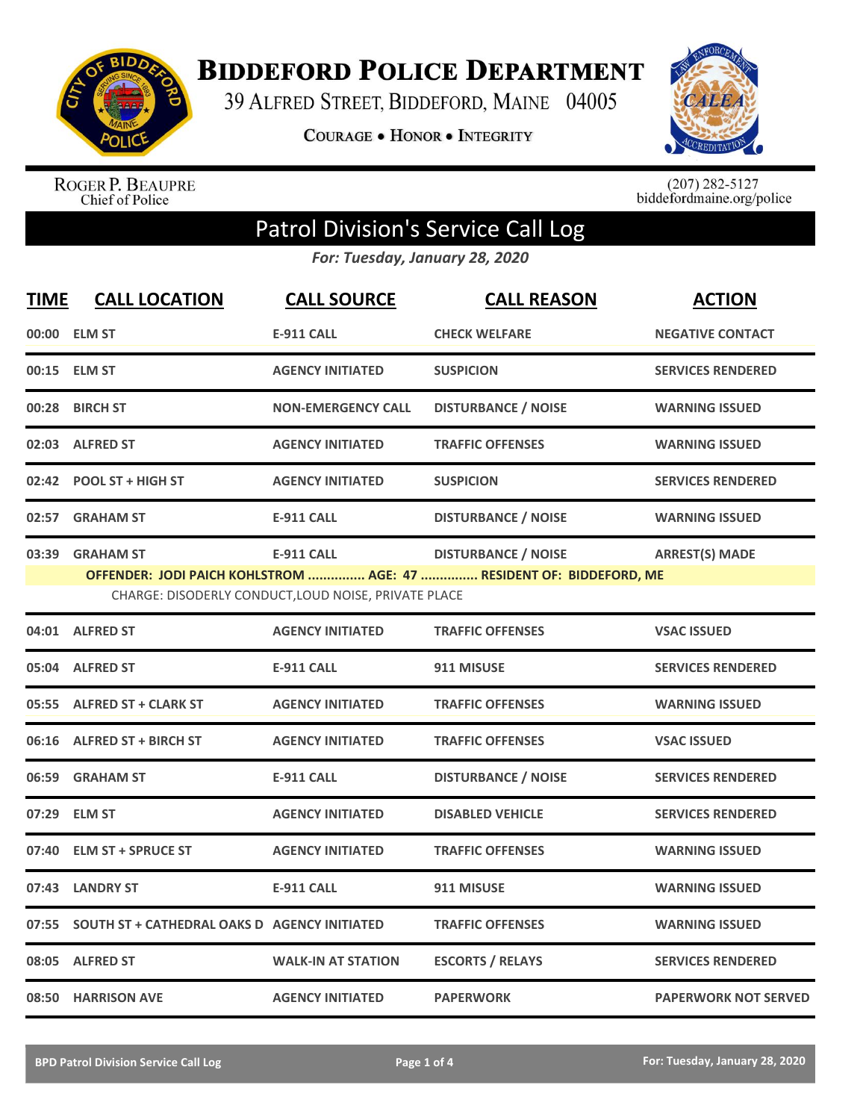

**BIDDEFORD POLICE DEPARTMENT** 

39 ALFRED STREET, BIDDEFORD, MAINE 04005

**COURAGE . HONOR . INTEGRITY** 



ROGER P. BEAUPRE<br>Chief of Police

 $(207)$  282-5127<br>biddefordmaine.org/police

## Patrol Division's Service Call Log

*For: Tuesday, January 28, 2020*

| <b>TIME</b> | <b>CALL LOCATION</b>                                | <b>CALL SOURCE</b>                                                        | <b>CALL REASON</b>                                                                                | <b>ACTION</b>               |
|-------------|-----------------------------------------------------|---------------------------------------------------------------------------|---------------------------------------------------------------------------------------------------|-----------------------------|
|             | 00:00 ELM ST                                        | <b>E-911 CALL</b>                                                         | <b>CHECK WELFARE</b>                                                                              | <b>NEGATIVE CONTACT</b>     |
|             | 00:15 ELM ST                                        | <b>AGENCY INITIATED</b>                                                   | <b>SUSPICION</b>                                                                                  | <b>SERVICES RENDERED</b>    |
| 00:28       | <b>BIRCH ST</b>                                     | <b>NON-EMERGENCY CALL</b>                                                 | <b>DISTURBANCE / NOISE</b>                                                                        | <b>WARNING ISSUED</b>       |
|             | 02:03 ALFRED ST                                     | <b>AGENCY INITIATED</b>                                                   | <b>TRAFFIC OFFENSES</b>                                                                           | <b>WARNING ISSUED</b>       |
|             | 02:42 POOL ST + HIGH ST                             | <b>AGENCY INITIATED</b>                                                   | <b>SUSPICION</b>                                                                                  | <b>SERVICES RENDERED</b>    |
| 02:57       | <b>GRAHAM ST</b>                                    | <b>E-911 CALL</b>                                                         | <b>DISTURBANCE / NOISE</b>                                                                        | <b>WARNING ISSUED</b>       |
| 03:39       | <b>GRAHAM ST</b>                                    | <b>E-911 CALL</b><br>CHARGE: DISODERLY CONDUCT, LOUD NOISE, PRIVATE PLACE | <b>DISTURBANCE / NOISE</b><br>OFFENDER: JODI PAICH KOHLSTROM  AGE: 47  RESIDENT OF: BIDDEFORD, ME | <b>ARREST(S) MADE</b>       |
|             | 04:01 ALFRED ST                                     | <b>AGENCY INITIATED</b>                                                   | <b>TRAFFIC OFFENSES</b>                                                                           | <b>VSAC ISSUED</b>          |
|             | 05:04 ALFRED ST                                     | <b>E-911 CALL</b>                                                         | 911 MISUSE                                                                                        | <b>SERVICES RENDERED</b>    |
|             | 05:55 ALFRED ST + CLARK ST                          | <b>AGENCY INITIATED</b>                                                   | <b>TRAFFIC OFFENSES</b>                                                                           | <b>WARNING ISSUED</b>       |
|             | 06:16 ALFRED ST + BIRCH ST                          | <b>AGENCY INITIATED</b>                                                   | <b>TRAFFIC OFFENSES</b>                                                                           | <b>VSAC ISSUED</b>          |
|             | 06:59 GRAHAM ST                                     | <b>E-911 CALL</b>                                                         | <b>DISTURBANCE / NOISE</b>                                                                        | <b>SERVICES RENDERED</b>    |
| 07:29       | <b>ELM ST</b>                                       | <b>AGENCY INITIATED</b>                                                   | <b>DISABLED VEHICLE</b>                                                                           | <b>SERVICES RENDERED</b>    |
| 07:40       | <b>ELM ST + SPRUCE ST</b>                           | <b>AGENCY INITIATED</b>                                                   | <b>TRAFFIC OFFENSES</b>                                                                           | <b>WARNING ISSUED</b>       |
|             | 07:43 LANDRY ST                                     | <b>E-911 CALL</b>                                                         | 911 MISUSE                                                                                        | <b>WARNING ISSUED</b>       |
| 07:55       | <b>SOUTH ST + CATHEDRAL OAKS D AGENCY INITIATED</b> |                                                                           | <b>TRAFFIC OFFENSES</b>                                                                           | <b>WARNING ISSUED</b>       |
| 08:05       | <b>ALFRED ST</b>                                    | <b>WALK-IN AT STATION</b>                                                 | <b>ESCORTS / RELAYS</b>                                                                           | <b>SERVICES RENDERED</b>    |
|             | 08:50 HARRISON AVE                                  | <b>AGENCY INITIATED</b>                                                   | <b>PAPERWORK</b>                                                                                  | <b>PAPERWORK NOT SERVED</b> |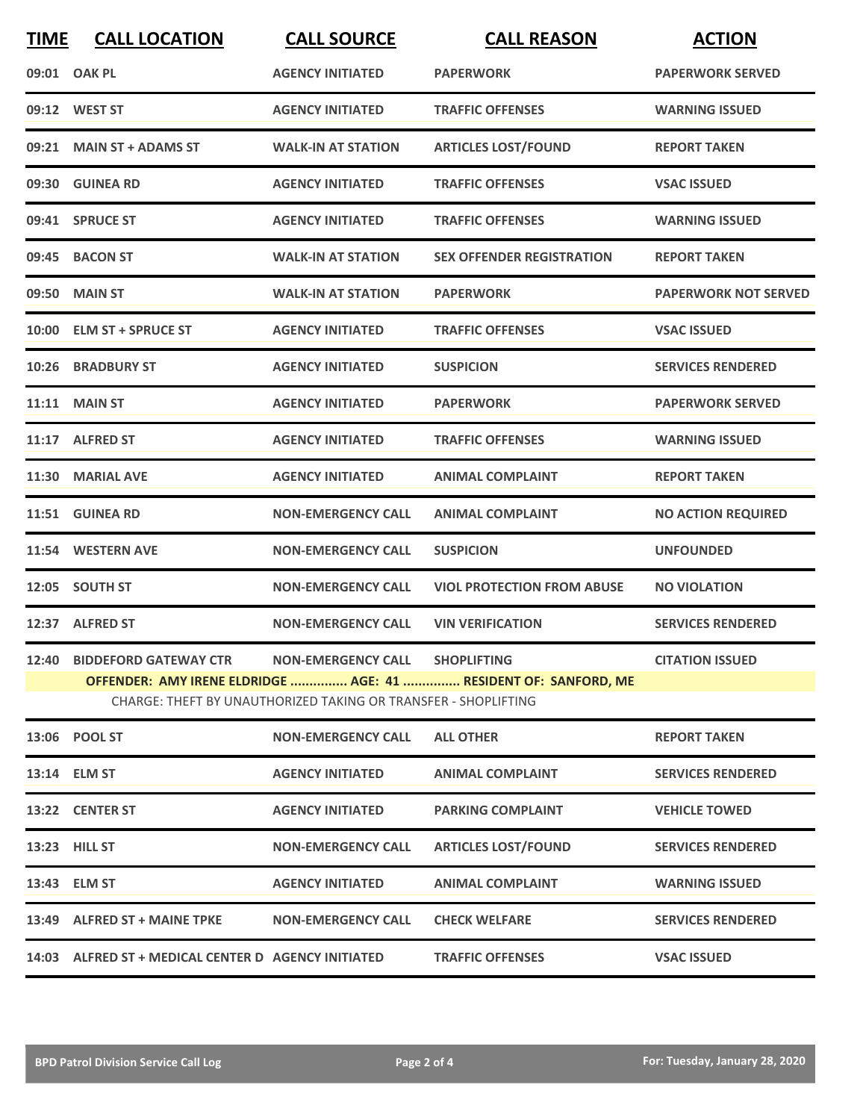| <b>TIME</b> | <b>CALL LOCATION</b>                                | <b>CALL SOURCE</b>                                             | <b>CALL REASON</b>                                              | <b>ACTION</b>               |
|-------------|-----------------------------------------------------|----------------------------------------------------------------|-----------------------------------------------------------------|-----------------------------|
| 09:01       | <b>OAK PL</b>                                       | <b>AGENCY INITIATED</b>                                        | <b>PAPERWORK</b>                                                | <b>PAPERWORK SERVED</b>     |
|             | 09:12 WEST ST                                       | <b>AGENCY INITIATED</b>                                        | <b>TRAFFIC OFFENSES</b>                                         | <b>WARNING ISSUED</b>       |
| 09:21       | <b>MAIN ST + ADAMS ST</b>                           | <b>WALK-IN AT STATION</b>                                      | <b>ARTICLES LOST/FOUND</b>                                      | <b>REPORT TAKEN</b>         |
|             | 09:30 GUINEA RD                                     | <b>AGENCY INITIATED</b>                                        | <b>TRAFFIC OFFENSES</b>                                         | <b>VSAC ISSUED</b>          |
|             | 09:41 SPRUCE ST                                     | <b>AGENCY INITIATED</b>                                        | <b>TRAFFIC OFFENSES</b>                                         | <b>WARNING ISSUED</b>       |
| 09:45       | <b>BACON ST</b>                                     | <b>WALK-IN AT STATION</b>                                      | <b>SEX OFFENDER REGISTRATION</b>                                | <b>REPORT TAKEN</b>         |
| 09:50       | <b>MAIN ST</b>                                      | <b>WALK-IN AT STATION</b>                                      | <b>PAPERWORK</b>                                                | <b>PAPERWORK NOT SERVED</b> |
| 10:00       | <b>ELM ST + SPRUCE ST</b>                           | <b>AGENCY INITIATED</b>                                        | <b>TRAFFIC OFFENSES</b>                                         | <b>VSAC ISSUED</b>          |
| 10:26       | <b>BRADBURY ST</b>                                  | <b>AGENCY INITIATED</b>                                        | <b>SUSPICION</b>                                                | <b>SERVICES RENDERED</b>    |
| 11:11       | <b>MAIN ST</b>                                      | <b>AGENCY INITIATED</b>                                        | <b>PAPERWORK</b>                                                | <b>PAPERWORK SERVED</b>     |
|             | 11:17 ALFRED ST                                     | <b>AGENCY INITIATED</b>                                        | <b>TRAFFIC OFFENSES</b>                                         | <b>WARNING ISSUED</b>       |
| 11:30       | <b>MARIAL AVE</b>                                   | <b>AGENCY INITIATED</b>                                        | <b>ANIMAL COMPLAINT</b>                                         | <b>REPORT TAKEN</b>         |
| 11:51       | <b>GUINEA RD</b>                                    | <b>NON-EMERGENCY CALL</b>                                      | <b>ANIMAL COMPLAINT</b>                                         | <b>NO ACTION REQUIRED</b>   |
| 11:54       | <b>WESTERN AVE</b>                                  | <b>NON-EMERGENCY CALL</b>                                      | <b>SUSPICION</b>                                                | <b>UNFOUNDED</b>            |
| 12:05       | <b>SOUTH ST</b>                                     | <b>NON-EMERGENCY CALL</b>                                      | <b>VIOL PROTECTION FROM ABUSE</b>                               | <b>NO VIOLATION</b>         |
|             | 12:37 ALFRED ST                                     | <b>NON-EMERGENCY CALL</b>                                      | <b>VIN VERIFICATION</b>                                         | <b>SERVICES RENDERED</b>    |
|             | 12:40 BIDDEFORD GATEWAY CTR                         | NON-EMERGENCY CALL SHOPLIFTING                                 |                                                                 | <b>CITATION ISSUED</b>      |
|             |                                                     | CHARGE: THEFT BY UNAUTHORIZED TAKING OR TRANSFER - SHOPLIFTING | OFFENDER: AMY IRENE ELDRIDGE  AGE: 41  RESIDENT OF: SANFORD, ME |                             |
|             | 13:06 POOL ST                                       | <b>NON-EMERGENCY CALL</b>                                      | <b>ALL OTHER</b>                                                | <b>REPORT TAKEN</b>         |
|             | 13:14 ELM ST                                        | <b>AGENCY INITIATED</b>                                        | <b>ANIMAL COMPLAINT</b>                                         | <b>SERVICES RENDERED</b>    |
|             | 13:22 CENTER ST                                     | <b>AGENCY INITIATED</b>                                        | <b>PARKING COMPLAINT</b>                                        | <b>VEHICLE TOWED</b>        |
|             | 13:23 HILL ST                                       | <b>NON-EMERGENCY CALL</b>                                      | <b>ARTICLES LOST/FOUND</b>                                      | <b>SERVICES RENDERED</b>    |
|             | 13:43 ELM ST                                        | <b>AGENCY INITIATED</b>                                        | <b>ANIMAL COMPLAINT</b>                                         | <b>WARNING ISSUED</b>       |
|             | 13:49 ALFRED ST + MAINE TPKE                        | <b>NON-EMERGENCY CALL</b>                                      | <b>CHECK WELFARE</b>                                            | <b>SERVICES RENDERED</b>    |
|             | 14:03 ALFRED ST + MEDICAL CENTER D AGENCY INITIATED |                                                                | <b>TRAFFIC OFFENSES</b>                                         | <b>VSAC ISSUED</b>          |
|             |                                                     |                                                                |                                                                 |                             |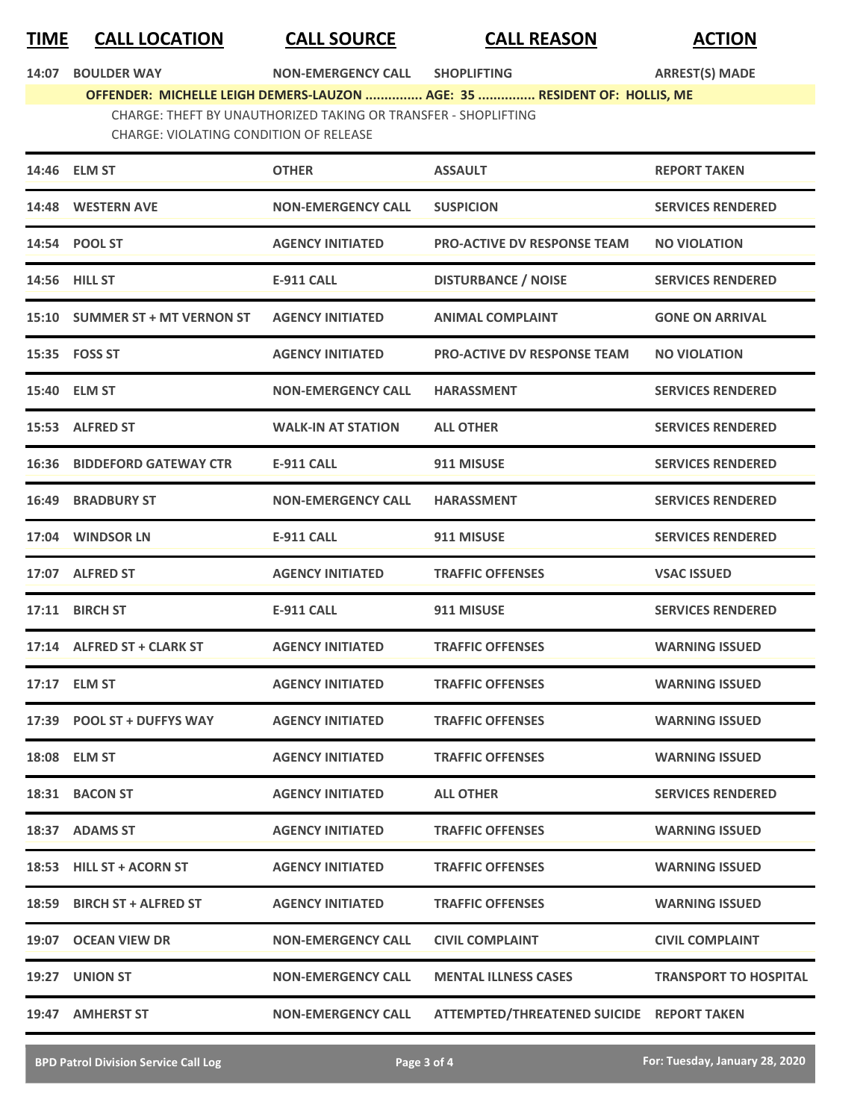## **TIME CALL LOCATION CALL SOURCE CALL REASON ACTION**

| 14:07 BOULDER WAY | <b>NON-EMERGENCY CALL</b> | <b>SHOPLIFTING</b> | <b>ARREST(S) MADE</b> |
|-------------------|---------------------------|--------------------|-----------------------|
|                   |                           |                    |                       |

**OFFENDER: MICHELLE LEIGH DEMERS-LAUZON ............... AGE: 35 ............... RESIDENT OF: HOLLIS, ME**

CHARGE: THEFT BY UNAUTHORIZED TAKING OR TRANSFER - SHOPLIFTING

CHARGE: VIOLATING CONDITION OF RELEASE

| 14:46 ELM ST                       | <b>OTHER</b>              | <b>ASSAULT</b>                            | <b>REPORT TAKEN</b>          |
|------------------------------------|---------------------------|-------------------------------------------|------------------------------|
| 14:48 WESTERN AVE                  | <b>NON-EMERGENCY CALL</b> | <b>SUSPICION</b>                          | <b>SERVICES RENDERED</b>     |
| 14:54 POOL ST                      | <b>AGENCY INITIATED</b>   | <b>PRO-ACTIVE DV RESPONSE TEAM</b>        | <b>NO VIOLATION</b>          |
| 14:56 HILL ST                      | E-911 CALL                | <b>DISTURBANCE / NOISE</b>                | <b>SERVICES RENDERED</b>     |
| 15:10 SUMMER ST + MT VERNON ST     | <b>AGENCY INITIATED</b>   | <b>ANIMAL COMPLAINT</b>                   | <b>GONE ON ARRIVAL</b>       |
| 15:35 FOSS ST                      | <b>AGENCY INITIATED</b>   | <b>PRO-ACTIVE DV RESPONSE TEAM</b>        | <b>NO VIOLATION</b>          |
| 15:40 ELM ST                       | <b>NON-EMERGENCY CALL</b> | <b>HARASSMENT</b>                         | <b>SERVICES RENDERED</b>     |
| 15:53 ALFRED ST                    | <b>WALK-IN AT STATION</b> | <b>ALL OTHER</b>                          | <b>SERVICES RENDERED</b>     |
| <b>16:36 BIDDEFORD GATEWAY CTR</b> | <b>E-911 CALL</b>         | 911 MISUSE                                | <b>SERVICES RENDERED</b>     |
| <b>16:49 BRADBURY ST</b>           | <b>NON-EMERGENCY CALL</b> | <b>HARASSMENT</b>                         | <b>SERVICES RENDERED</b>     |
| 17:04 WINDSOR LN                   | <b>E-911 CALL</b>         | 911 MISUSE                                | <b>SERVICES RENDERED</b>     |
| 17:07 ALFRED ST                    | <b>AGENCY INITIATED</b>   | <b>TRAFFIC OFFENSES</b>                   | <b>VSAC ISSUED</b>           |
| 17:11 BIRCH ST                     | <b>E-911 CALL</b>         | 911 MISUSE                                | <b>SERVICES RENDERED</b>     |
| 17:14 ALFRED ST + CLARK ST         | <b>AGENCY INITIATED</b>   | <b>TRAFFIC OFFENSES</b>                   | <b>WARNING ISSUED</b>        |
| 17:17 ELM ST                       | <b>AGENCY INITIATED</b>   | <b>TRAFFIC OFFENSES</b>                   | <b>WARNING ISSUED</b>        |
| 17:39 POOL ST + DUFFYS WAY         | <b>AGENCY INITIATED</b>   | <b>TRAFFIC OFFENSES</b>                   | <b>WARNING ISSUED</b>        |
| 18:08 ELM ST                       | <b>AGENCY INITIATED</b>   | <b>TRAFFIC OFFENSES</b>                   | <b>WARNING ISSUED</b>        |
| 18:31 BACON ST                     | <b>AGENCY INITIATED</b>   | <b>ALL OTHER</b>                          | <b>SERVICES RENDERED</b>     |
| 18:37 ADAMS ST                     | <b>AGENCY INITIATED</b>   | <b>TRAFFIC OFFENSES</b>                   | <b>WARNING ISSUED</b>        |
| 18:53 HILL ST + ACORN ST           | <b>AGENCY INITIATED</b>   | <b>TRAFFIC OFFENSES</b>                   | <b>WARNING ISSUED</b>        |
| 18:59 BIRCH ST + ALFRED ST         | <b>AGENCY INITIATED</b>   | <b>TRAFFIC OFFENSES</b>                   | <b>WARNING ISSUED</b>        |
| 19:07 OCEAN VIEW DR                | <b>NON-EMERGENCY CALL</b> | <b>CIVIL COMPLAINT</b>                    | <b>CIVIL COMPLAINT</b>       |
| 19:27 UNION ST                     | <b>NON-EMERGENCY CALL</b> | <b>MENTAL ILLNESS CASES</b>               | <b>TRANSPORT TO HOSPITAL</b> |
| 19:47 AMHERST ST                   | <b>NON-EMERGENCY CALL</b> | ATTEMPTED/THREATENED SUICIDE REPORT TAKEN |                              |

**BPD Patrol Division Service Call Log Page 3 of 4 For: Tuesday, January 28, 2020**